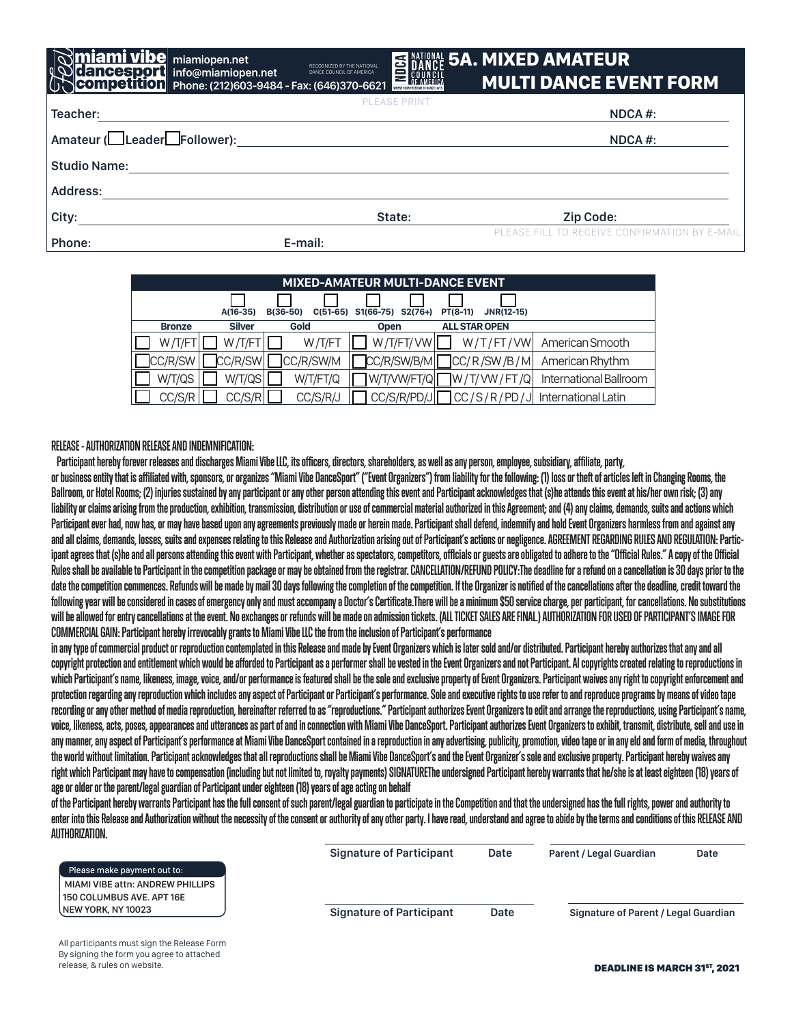## 5A. MIXED AMATEUR MULTI DANCE EVENT FORM

| $\left[\bigcup_{i=1}^{n}$ COM petition Phone: (212)603-9484 - Fax: (646)370-6621 |                     | MULII DANGE EVENT FURM.                       |  |
|----------------------------------------------------------------------------------|---------------------|-----------------------------------------------|--|
| Teacher:                                                                         | <b>PLEASE PRINT</b> | NDCA #:                                       |  |
| Amateur (Leader Heollower):                                                      |                     | NDCA #:                                       |  |
| <b>Studio Name:</b>                                                              |                     |                                               |  |
| Address:                                                                         |                     |                                               |  |
| City:                                                                            | State:              | <b>Zip Code:</b>                              |  |
| Phone:                                                                           | E-mail:             | PLEASE FILL TO RECEIVE CONFIRMATION BY E-MAIL |  |

RECOGNIZED BY THE NATIONAL DANCE COUNCIL OF AMERICA

| <b>MIXED-AMATEUR MULTI-DANCE EVENT</b> |               |                        |                        |                               |                        |  |  |
|----------------------------------------|---------------|------------------------|------------------------|-------------------------------|------------------------|--|--|
|                                        | $A(16-35)$    | $C(51-65)$<br>B(36-50) | S1(66-75)<br>$S2(76+)$ | PT(8-11)<br><b>JNR(12-15)</b> |                        |  |  |
| <b>Bronze</b>                          | <b>Silver</b> | Gold                   | <b>Open</b>            | <b>ALL STAR OPEN</b>          |                        |  |  |
| W/T/FT                                 | W/T/FT        | W/T/FT                 | W/T/FT/VW              | W/T/FT/VW                     | American Smooth        |  |  |
| CC/R/SW                                | CC/R/SW       | CC/R/SW/M              | CC/R/SW/B/M            | CC/R/SW/B/M                   | American Rhythm        |  |  |
| W/T/QS                                 | W/T/QS        | W/T/FT/Q               | W/T/VW/FT/Q            | W/T/WW/FT/Q                   | International Ballroom |  |  |
| CC/S/R                                 | CC/S/R        | CC/S/R/J               | CC/S/R/PD/J            | CC/S/R/PD/J                   | International Latin    |  |  |

**RELEASE - AUTHORIZATION RELEASE AND INDEMNIFICATION:** 

**iami vibe** miamiopen.net

**info@miamiopen.net**

 **Participant hereby forever releases and discharges Miami Vibe LLC, its officers, directors, shareholders, as well as any person, employee, subsidiary, affiliate, party,**

**or business entity that is affiliated with, sponsors, or organizes "Miami Vibe DanceSport" ("Event Organizers") from liability for the following: (1) loss or theft of articles left in Changing Rooms, the Ballroom, or Hotel Rooms; (2) injuries sustained by any participant or any other person attending this event and Participant acknowledges that (s)he attends this event at his/her own risk; (3) any liability or claims arising from the production, exhibition, transmission, distribution or use of commercial material authorized in this Agreement; and (4) any claims, demands, suits and actions which**  Participant ever had, now has, or may have based upon any agreements previously made or herein made. Participant shall defend, indemnify and hold Event Organizers harmless from and against any **and all claims, demands, losses, suits and expenses relating to this Release and Authorization arising out of Participant's actions or negligence. AGREEMENT REGARDING RULES AND REGULATION: Partic**ipant agrees that (s)he and all persons attending this event with Participant, whether as spectators, competitors, officials or guests are obligated to adhere to the "Official Rules." A copy of the Official **Rules shall be available to Participant in the competition package or may be obtained from the registrar. CANCELLATION/REFUND POLICY:The deadline for a refund on a cancellation is 30 days prior to the date the competition commences. Refunds will be made by mail 30 days following the completion of the competition. If the Organizer is notified of the cancellations after the deadline, credit toward the following year will be considered in cases of emergency only and must accompany a Doctor's Certificate.There will be a minimum \$50 service charge, per participant, for cancellations. No substitutions will be allowed for entry cancellations at the event. No exchanges or refunds will be made on admission tickets. (ALL TICKET SALES ARE FINAL.) AUTHORIZATION FOR USED OF PARTICIPANT'S IMAGE FOR COMMERCIAL GAIN: Participant hereby irrevocably grants to Miami Vibe LLC the from the inclusion of Participant's performance**

in any type of commercial product or reproduction contemplated in this Release and made by Event Organizers which is later sold and/or distributed. Participant hereby authorizes that any and all **copyright protection and entitlement which would be afforded to Participant as a performer shall be vested in the Event Organizers and not Participant. Al copyrights created relating to reproductions in which Participant's name, likeness, image, voice, and/or performance is featured shall be the sole and exclusive property of Event Organizers. Participant waives any right to copyright enforcement and protection regarding any reproduction which includes any aspect of Participant or Participant's performance. Sole and executive rights to use refer to and reproduce programs by means of video tape**  recording or any other method of media reproduction, hereinafter referred to as "reproductions." Participant authorizes Event Organizers to edit and arrange the reproductions, using Participant's name, **voice, likeness, acts, poses, appearances and utterances as part of and in connection with Miami Vibe DanceSport. Participant authorizes Event Organizers to exhibit, transmit, distribute, sell and use in any manner, any aspect of Participant's performance at Miami Vibe DanceSport contained in a reproduction in any advertising, publicity, promotion, video tape or in any eld and form of media, throughout the world without limitation. Participant acknowledges that all reproductions shall be Miami Vibe DanceSport's and the Event Organizer's sole and exclusive property. Participant hereby waives any right which Participant may have to compensation (including but not limited to, royalty payments) SIGNATUREThe undersigned Participant hereby warrants that he/she is at least eighteen (18) years of age or older or the parent/legal guardian of Participant under eighteen (18) years of age acting on behalf**

**of the Participant hereby warrants Participant has the full consent of such parent/legal guardian to participate in the Competition and that the undersigned has the full rights, power and authority to enter into this Release and Authorization without the necessity of the consent or authority of any other party. I have read, understand and agree to abide by the terms and conditions of this RELEASE AND AUTHORIZATION.** 

|                                         | <b>Signature of Participant</b> | Date | <b>Parent / Legal Guardian</b>       | Date |
|-----------------------------------------|---------------------------------|------|--------------------------------------|------|
| Please make payment out to:             |                                 |      |                                      |      |
| <b>MIAMI VIBE attn: ANDREW PHILLIPS</b> |                                 |      |                                      |      |
| l 150 COLUMBUS AVE. APT 16E             |                                 |      |                                      |      |
| l NEW YORK. NY 10023                    | <b>Signature of Participant</b> | Date | Signature of Parent / Legal Guardian |      |
|                                         |                                 |      |                                      |      |

All participants must sign the Release Form By signing the form you agree to attached release, & rules on website.

DEADLINE IS MARCH 31<sup>st</sup>, 2021